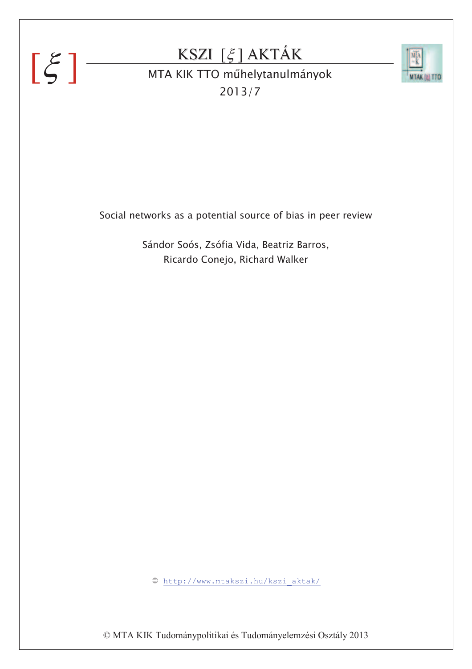# $[\xi]$

## KSZI  $[\xi]$  AKTÁK



MTA KIK TTO műhelytanulmányok 2013/7

Social networks as a potential source of bias in peer review

Sándor Soós, Zsófia Vida, Beatriz Barros, Ricardo Conejo, Richard Walker

‹ http://www.mtakszi.hu/kszi\_aktak/

© MTA KIK Tudománypolitikai és Tudományelemzési Osztály 2013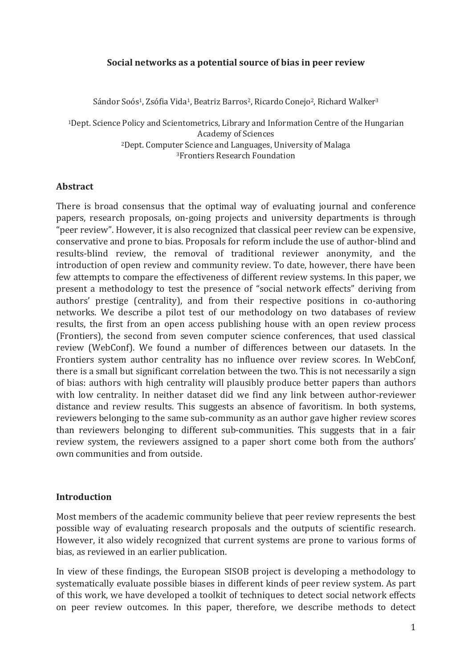#### Social networks as a potential source of bias in peer review

Sándor Soós<sup>1</sup>, Zsófia Vida<sup>1</sup>, Beatriz Barros<sup>2</sup>, Ricardo Conejo<sup>2</sup>, Richard Walker<sup>3</sup>

<sup>1</sup>Dept. Science Policy and Scientometrics, Library and Information Centre of the Hungarian **Academy of Sciences** <sup>2</sup>Dept. Computer Science and Languages, University of Malaga <sup>3</sup>Frontiers Research Foundation

#### **Abstract**

There is broad consensus that the optimal way of evaluating journal and conference papers, research proposals, on-going projects and university departments is through "peer review". However, it is also recognized that classical peer review can be expensive, conservative and prone to bias. Proposals for reform include the use of author-blind and results-blind review, the removal of traditional reviewer anonymity, and the introduction of open review and community review. To date, however, there have been few attempts to compare the effectiveness of different review systems. In this paper, we present a methodology to test the presence of "social network effects" deriving from authors' prestige (centrality), and from their respective positions in co-authoring networks. We describe a pilot test of our methodology on two databases of review results, the first from an open access publishing house with an open review process (Frontiers), the second from seven computer science conferences, that used classical review (WebConf). We found a number of differences between our datasets. In the Frontiers system author centrality has no influence over review scores. In WebConf, there is a small but significant correlation between the two. This is not necessarily a sign of bias: authors with high centrality will plausibly produce better papers than authors with low centrality. In neither dataset did we find any link between author-reviewer distance and review results. This suggests an absence of favoritism. In both systems, reviewers belonging to the same sub-community as an author gave higher review scores than reviewers belonging to different sub-communities. This suggests that in a fair review system, the reviewers assigned to a paper short come both from the authors' own communities and from outside.

#### **Introduction**

Most members of the academic community believe that peer review represents the best possible way of evaluating research proposals and the outputs of scientific research. However, it also widely recognized that current systems are prone to various forms of bias, as reviewed in an earlier publication.

In view of these findings, the European SISOB project is developing a methodology to systematically evaluate possible biases in different kinds of peer review system. As part of this work, we have developed a toolkit of techniques to detect social network effects on peer review outcomes. In this paper, therefore, we describe methods to detect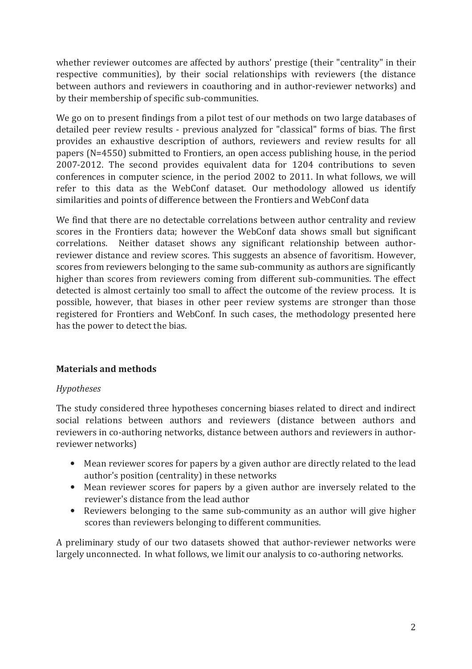whether reviewer outcomes are affected by authors' prestige (their "centrality" in their respective communities), by their social relationships with reviewers (the distance between authors and reviewers in coauthoring and in author-reviewer networks) and by their membership of specific sub-communities.

We go on to present findings from a pilot test of our methods on two large databases of detailed peer review results - previous analyzed for "classical" forms of bias. The first provides an exhaustive description of authors, reviewers and review results for all papers (N=4550) submitted to Frontiers, an open access publishing house, in the period 2007-2012. The second provides equivalent data for 1204 contributions to seven conferences in computer science, in the period 2002 to 2011. In what follows, we will refer to this data as the WebConf dataset. Our methodology allowed us identify similarities and points of difference between the Frontiers and WebConf data

We find that there are no detectable correlations between author centrality and review scores in the Frontiers data; however the WebConf data shows small but significant correlations. Neither dataset shows any significant relationship between authorreviewer distance and review scores. This suggests an absence of favoritism. However, scores from reviewers belonging to the same sub-community as authors are significantly higher than scores from reviewers coming from different sub-communities. The effect detected is almost certainly too small to affect the outcome of the review process. It is possible, however, that biases in other peer review systems are stronger than those registered for Frontiers and WebConf. In such cases, the methodology presented here has the power to detect the bias.

#### **Materials and methods**

#### **Hypotheses**

The study considered three hypotheses concerning biases related to direct and indirect social relations between authors and reviewers (distance between authors and reviewers in co-authoring networks, distance between authors and reviewers in authorreviewer networks)

- Mean reviewer scores for papers by a given author are directly related to the lead  $\bullet$ author's position (centrality) in these networks
- Mean reviewer scores for papers by a given author are inversely related to the reviewer's distance from the lead author
- Reviewers belonging to the same sub-community as an author will give higher scores than reviewers belonging to different communities.

A preliminary study of our two datasets showed that author-reviewer networks were largely unconnected. In what follows, we limit our analysis to co-authoring networks.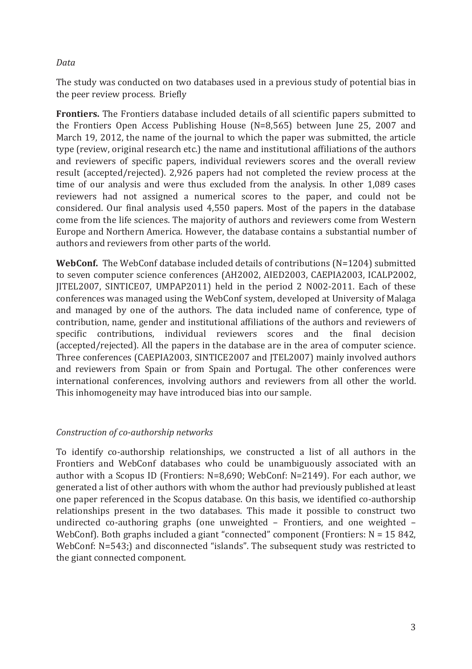#### Data

The study was conducted on two databases used in a previous study of potential bias in the peer review process. Briefly

**Frontiers.** The Frontiers database included details of all scientific papers submitted to the Frontiers Open Access Publishing House (N=8,565) between June 25, 2007 and March 19, 2012, the name of the journal to which the paper was submitted, the article type (review, original research etc.) the name and institutional affiliations of the authors and reviewers of specific papers, individual reviewers scores and the overall review result (accepted/rejected). 2,926 papers had not completed the review process at the time of our analysis and were thus excluded from the analysis. In other 1,089 cases reviewers had not assigned a numerical scores to the paper, and could not be considered. Our final analysis used 4,550 papers. Most of the papers in the database come from the life sciences. The majority of authors and reviewers come from Western Europe and Northern America. However, the database contains a substantial number of authors and reviewers from other parts of the world.

WebConf. The WebConf database included details of contributions (N=1204) submitted to seven computer science conferences (AH2002, AIED2003, CAEPIA2003, ICALP2002, JITEL2007, SINTICE07, UMPAP2011) held in the period 2 N002-2011. Each of these conferences was managed using the WebConf system, developed at University of Malaga and managed by one of the authors. The data included name of conference, type of contribution, name, gender and institutional affiliations of the authors and reviewers of specific contributions, individual reviewers scores and the final decision (accepted/rejected). All the papers in the database are in the area of computer science. Three conferences (CAEPIA2003, SINTICE2007 and JTEL2007) mainly involved authors and reviewers from Spain or from Spain and Portugal. The other conferences were international conferences, involving authors and reviewers from all other the world. This inhomogeneity may have introduced bias into our sample.

#### Construction of co-authorship networks

To identify co-authorship relationships, we constructed a list of all authors in the Frontiers and WebConf databases who could be unambiguously associated with an author with a Scopus ID (Frontiers: N=8,690; WebConf: N=2149). For each author, we generated a list of other authors with whom the author had previously published at least one paper referenced in the Scopus database. On this basis, we identified co-authorship relationships present in the two databases. This made it possible to construct two undirected co-authoring graphs (one unweighted - Frontiers, and one weighted -WebConf). Both graphs included a giant "connected" component (Frontiers:  $N = 15842$ , WebConf: N=543;) and disconnected "islands". The subsequent study was restricted to the giant connected component.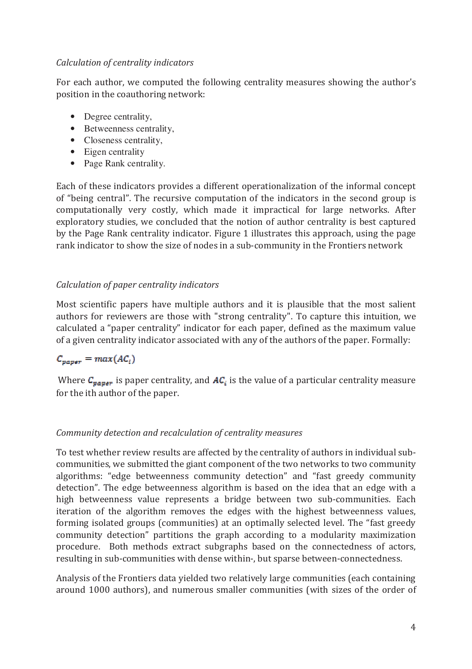#### Calculation of centrality indicators

For each author, we computed the following centrality measures showing the author's position in the coauthoring network:

- Degree centrality,
- Betweenness centrality,
- Closeness centrality,
- $\bullet$  Eigen centrality
- Page Rank centrality.

Each of these indicators provides a different operationalization of the informal concept of "being central". The recursive computation of the indicators in the second group is computationally very costly, which made it impractical for large networks. After exploratory studies, we concluded that the notion of author centrality is best captured by the Page Rank centrality indicator. Figure 1 illustrates this approach, using the page rank indicator to show the size of nodes in a sub-community in the Frontiers network

#### Calculation of paper centrality indicators

Most scientific papers have multiple authors and it is plausible that the most salient authors for reviewers are those with "strong centrality". To capture this intuition, we calculated a "paper centrality" indicator for each paper, defined as the maximum value of a given centrality indicator associated with any of the authors of the paper. Formally:

### $C_{\text{vaver}} = \max(A C_i)$

Where  $C_{paper}$  is paper centrality, and  $AC_i$  is the value of a particular centrality measure for the ith author of the paper.

#### Community detection and recalculation of centrality measures

To test whether review results are affected by the centrality of authors in individual subcommunities, we submitted the giant component of the two networks to two community algorithms: "edge betweenness community detection" and "fast greedy community detection". The edge betweenness algorithm is based on the idea that an edge with a high betweenness value represents a bridge between two sub-communities. Each iteration of the algorithm removes the edges with the highest betweenness values, forming isolated groups (communities) at an optimally selected level. The "fast greedy community detection" partitions the graph according to a modularity maximization procedure. Both methods extract subgraphs based on the connectedness of actors, resulting in sub-communities with dense within-, but sparse between-connectedness.

Analysis of the Frontiers data vielded two relatively large communities (each containing around 1000 authors), and numerous smaller communities (with sizes of the order of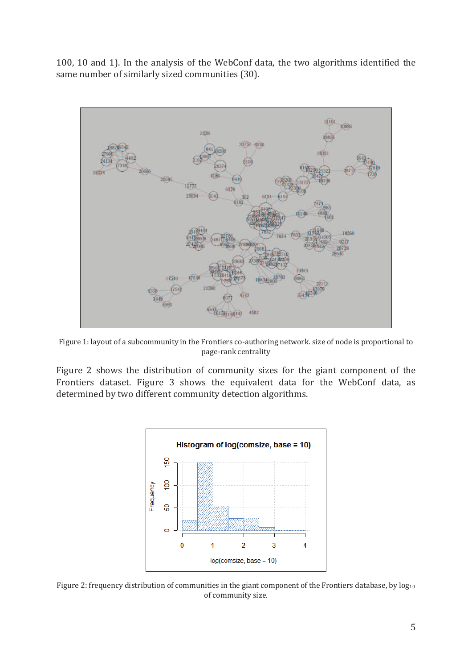100, 10 and 1). In the analysis of the WebConf data, the two algorithms identified the same number of similarly sized communities (30).



Figure 1: layout of a subcommunity in the Frontiers co-authoring network. size of node is proportional to page-rank centrality

Figure 2 shows the distribution of community sizes for the giant component of the Frontiers dataset. Figure 3 shows the equivalent data for the WebConf data, as determined by two different community detection algorithms.



Figure 2: frequency distribution of communities in the giant component of the Frontiers database, by log<sub>10</sub> of community size.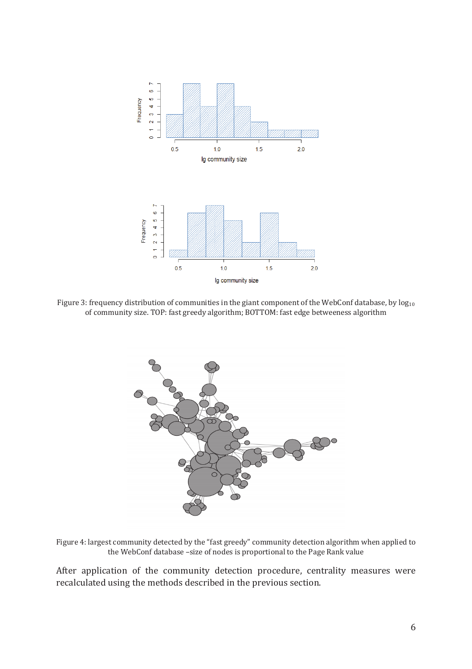

Figure 3: frequency distribution of communities in the giant component of the WebConf database, by  $log_{10}$ of community size. TOP: fast greedy algorithm; BOTTOM: fast edge betweeness algorithm



Figure 4: largest community detected by the "fast greedy" community detection algorithm when applied to the WebConf database -size of nodes is proportional to the Page Rank value

After application of the community detection procedure, centrality measures were recalculated using the methods described in the previous section.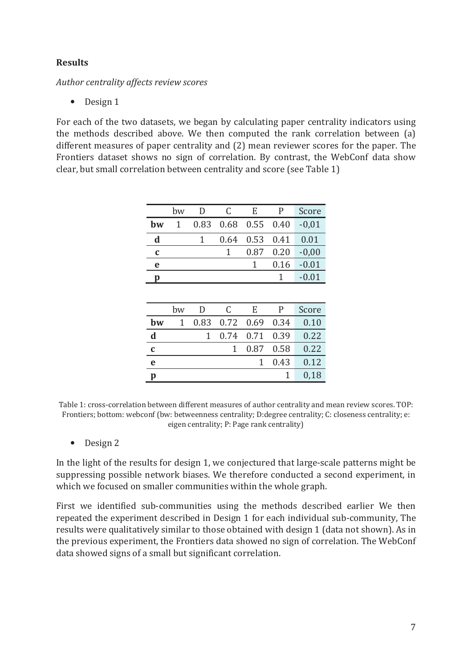#### **Results**

Author centrality affects review scores

 $\bullet$  Design 1

For each of the two datasets, we began by calculating paper centrality indicators using the methods described above. We then computed the rank correlation between (a) different measures of paper centrality and (2) mean reviewer scores for the paper. The Frontiers dataset shows no sign of correlation. By contrast, the WebConf data show clear, but small correlation between centrality and score (see Table 1)

|    | bw           |                        | E           | P    | Score   |
|----|--------------|------------------------|-------------|------|---------|
| bw | $\mathbf{1}$ | 0.83  0.68  0.55  0.40 |             |      | $-0.01$ |
| d  |              | 0.64                   | $0.53$ 0.41 |      | 0.01    |
| C  |              |                        | 0.87 0.20   |      | $-0,00$ |
| e  |              |                        |             | 0.16 | $-0.01$ |
| Ŋ  |              |                        |             |      | $-0.01$ |

|                                 | bw | D | C                   | E            |      | Score |
|---------------------------------|----|---|---------------------|--------------|------|-------|
| bw                              | 1  |   | 0.83 0.72 0.69 0.34 |              |      | 0.10  |
| $\frac{\mathbf{d}}{\mathbf{d}}$ |    |   | 0.74 0.71 0.39      |              |      | 0.22  |
| $\mathbf c$                     |    |   |                     | 1 0.87 0.58  |      | 0.22  |
| $\mathbf{e}$                    |    |   |                     | $\mathbf{1}$ | 0.43 | 0.12  |
| p                               |    |   |                     |              |      | 0,18  |

Table 1: cross-correlation between different measures of author centrality and mean review scores. TOP: Frontiers; bottom: webconf (bw: betweenness centrality; D: degree centrality; C: closeness centrality; e: eigen centrality; P: Page rank centrality)

 $\bullet$  Design 2

In the light of the results for design 1, we conjectured that large-scale patterns might be suppressing possible network biases. We therefore conducted a second experiment, in which we focused on smaller communities within the whole graph.

First we identified sub-communities using the methods described earlier We then repeated the experiment described in Design 1 for each individual sub-community, The results were qualitatively similar to those obtained with design 1 (data not shown). As in the previous experiment, the Frontiers data showed no sign of correlation. The WebConf data showed signs of a small but significant correlation.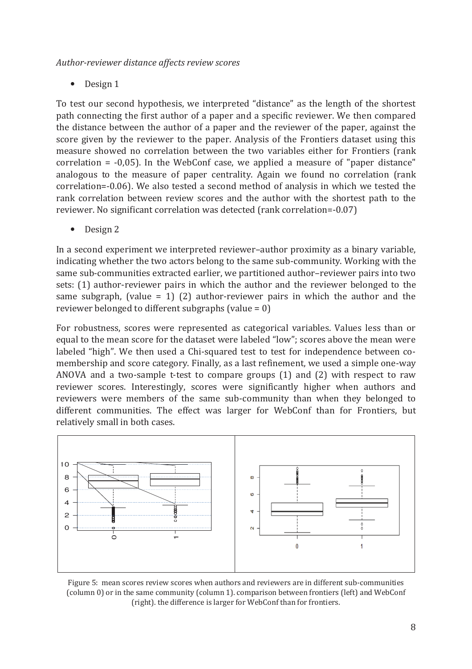Author-reviewer distance affects review scores

Design 1  $\bullet$ 

To test our second hypothesis, we interpreted "distance" as the length of the shortest path connecting the first author of a paper and a specific reviewer. We then compared the distance between the author of a paper and the reviewer of the paper, against the score given by the reviewer to the paper. Analysis of the Frontiers dataset using this measure showed no correlation between the two variables either for Frontiers (rank correlation =  $-0.05$ ). In the WebConf case, we applied a measure of "paper distance" analogous to the measure of paper centrality. Again we found no correlation (rank correlation=-0.06). We also tested a second method of analysis in which we tested the rank correlation between review scores and the author with the shortest path to the reviewer. No significant correlation was detected (rank correlation=-0.07)

Design 2  $\bullet$ 

In a second experiment we interpreted reviewer-author proximity as a binary variable. indicating whether the two actors belong to the same sub-community. Working with the same sub-communities extracted earlier, we partitioned author-reviewer pairs into two sets: (1) author-reviewer pairs in which the author and the reviewer belonged to the same subgraph, (value = 1) (2) author-reviewer pairs in which the author and the reviewer belonged to different subgraphs (value =  $0$ )

For robustness, scores were represented as categorical variables. Values less than or equal to the mean score for the dataset were labeled "low"; scores above the mean were labeled "high". We then used a Chi-squared test to test for independence between comembership and score category. Finally, as a last refinement, we used a simple one-way ANOVA and a two-sample t-test to compare groups (1) and (2) with respect to raw reviewer scores. Interestingly, scores were significantly higher when authors and reviewers were members of the same sub-community than when they belonged to different communities. The effect was larger for WebConf than for Frontiers, but relatively small in both cases.



Figure 5: mean scores review scores when authors and reviewers are in different sub-communities (column 0) or in the same community (column 1). comparison between frontiers (left) and WebConf (right). the difference is larger for WebConf than for frontiers.